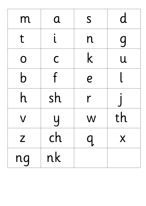| m              | $\mathbf{a}$   | S                      | d            |
|----------------|----------------|------------------------|--------------|
| t              | $\blacksquare$ | n                      | <u>g</u>     |
| $\mathbf 0$    | $\mathsf C$    | K                      | $\mathsf{U}$ |
| b              | f              | $\boldsymbol{\varrho}$ |              |
| h              | sh             | r                      |              |
| $\blacksquare$ | <b>1 I</b>     | W                      | τn           |
| $\mathsf{Z}$   | ch             | $\prod$                | X            |
| ng             | nk             |                        |              |